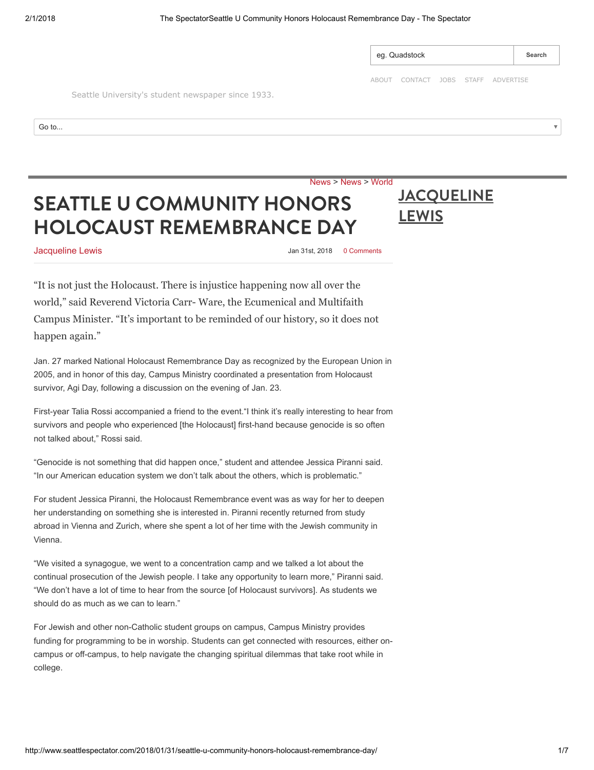<span id="page-0-0"></span>

|                                                    | eg. Quadstock                      |  |  |  | Search |
|----------------------------------------------------|------------------------------------|--|--|--|--------|
| Seattle University's student newspaper since 1933. | ABOUT CONTACT JOBS STAFF ADVERTISE |  |  |  |        |
| Go to                                              |                                    |  |  |  |        |
|                                                    |                                    |  |  |  |        |

## SEATTLE U COMMUNITY HONORS [HOLOCAUST REMEMBRANCE DAY](http://www.seattlespectator.com/2018/01/31/seattle-u-community-honors-holocaust-remembrance-day/)

## **[JACQUELINE](http://www.seattlespectator.com/author/jacqueline-lewis/) LEWIS**

**[Jacqueline Lewis](http://www.seattlespectator.com/author/jacqueline-lewis/) Jan 31st, 2018 Demand 31st, 2018 Demand 31st, 2018 Demand 31st, 2018** 

[News](http://www.seattlespectator.com/category/news/) > [News](http://www.seattlespectator.com/category/news/) > [World](http://www.seattlespectator.com/category/news/world/)

"It is not just the Holocaust. There is injustice happening now all over the world," said Reverend Victoria Carr- Ware, the Ecumenical and Multifaith Campus Minister. "It's important to be reminded of our history, so it does not happen again."

Jan. 27 marked National Holocaust Remembrance Day as recognized by the European Union in 2005, and in honor of this day, Campus Ministry coordinated a presentation from Holocaust survivor, Agi Day, following a discussion on the evening of Jan. 23.

First-year Talia Rossi accompanied a friend to the event."I think it's really interesting to hear from survivors and people who experienced [the Holocaust] first-hand because genocide is so often not talked about," Rossi said.

"Genocide is not something that did happen once," student and attendee Jessica Piranni said. "In our American education system we don't talk about the others, which is problematic."

For student Jessica Piranni, the Holocaust Remembrance event was as way for her to deepen her understanding on something she is interested in. Piranni recently returned from study abroad in Vienna and Zurich, where she spent a lot of her time with the Jewish community in Vienna.

"We visited a synagogue, we went to a concentration camp and we talked a lot about the continual prosecution of the Jewish people. I take any opportunity to learn more," Piranni said. "We don't have a lot of time to hear from the source [of Holocaust survivors]. As students we should do as much as we can to learn."

For Jewish and other non-Catholic student groups on campus, Campus Ministry provides funding for programming to be in worship. Students can get connected with resources, either oncampus or off-campus, to help navigate the changing spiritual dilemmas that take root while in college.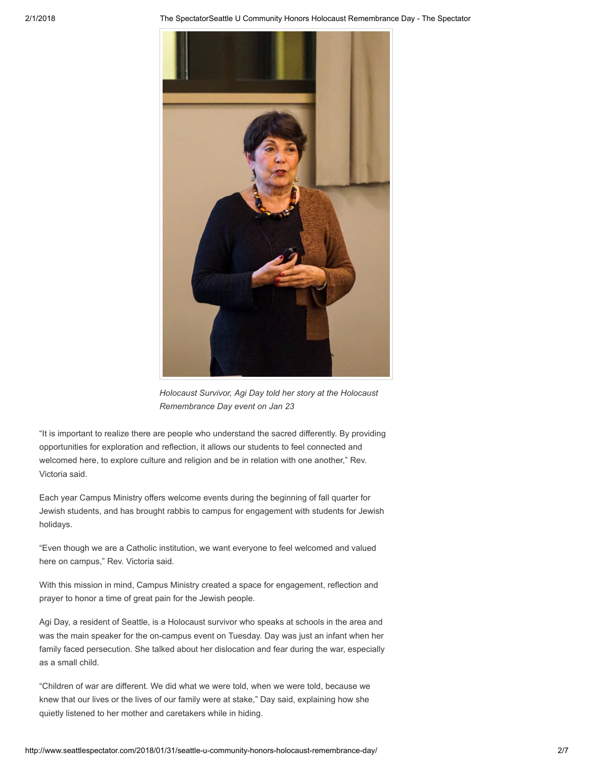2/1/2018 The SpectatorSeattle U Community Honors Holocaust Remembrance Day - The Spectator



Holocaust Survivor, Agi Day told her story at the Holocaust Remembrance Day event on Jan 23

"It is important to realize there are people who understand the sacred differently. By providing opportunities for exploration and reflection, it allows our students to feel connected and welcomed here, to explore culture and religion and be in relation with one another," Rev. Victoria said.

Each year Campus Ministry offers welcome events during the beginning of fall quarter for Jewish students, and has brought rabbis to campus for engagement with students for Jewish holidays.

"Even though we are a Catholic institution, we want everyone to feel welcomed and valued here on campus," Rev. Victoria said.

With this mission in mind, Campus Ministry created a space for engagement, reflection and prayer to honor a time of great pain for the Jewish people.

Agi Day, a resident of Seattle, is a Holocaust survivor who speaks at schools in the area and was the main speaker for the on-campus event on Tuesday. Day was just an infant when her family faced persecution. She talked about her dislocation and fear during the war, especially as a small child.

"Children of war are different. We did what we were told, when we were told, because we knew that our lives or the lives of our family were at stake," Day said, explaining how she quietly listened to her mother and caretakers while in hiding.